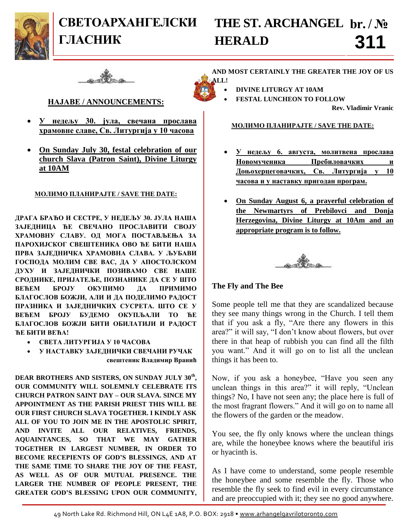

# **СВЕТОАРХАНГЕЛСКИ ГЛАСНИК**

## **THE ST. ARCHANGEL br. / № HERALD 311**



### **НАЈАВЕ / ANNOUNCEMENTS:**

- **У недељу 30. јула, свечана прослава храмовне славе, Св. Литургија у 10 часова**
- **On Sunday July 30, festal celebration of our church Slava (Patron Saint), Divine Liturgy at 10AM**

#### **МОЛИМО ПЛАНИРАЈТЕ / SAVE THE DATE:**

**ДРАГА БРАЋО И СЕСТРЕ, У НЕДЕЉУ 30. ЈУЛА НАША ЗАЈЕДНИЦА ЋЕ СВЕЧАНО ПРОСЛАВИТИ СВОЈУ ХРАМОВНУ СЛАВУ. ОД МОГА ПОСТАВЉЕЊА ЗА ПАРОХИЈСКОГ СВЕШТЕНИКА ОВО ЋЕ БИТИ НАША ПРВА ЗАЈЕДНИЧКА ХРАМОВНА СЛАВА. У ЉУБАВИ ГОСПОДА МОЛИМ СВЕ ВАС, ДА У АПОСТОЛСКОМ ДУХУ И ЗАЈЕДНИЧКИ ПОЗИВАМО СВЕ НАШЕ СРОДНИКЕ, ПРИЈАТЕЉЕ, ПОЗНАНИКЕ ДА СЕ У ШТО ВЕЋЕМ БРОЈУ ОКУПИМО ДА ПРИМИМО БЛАГОСЛОВ БОЖЈИ, АЛИ И ДА ПОДЕЛИМО РАДОСТ ПРАЗНИКА И ЗАЈЕДНИЧКИХ СУСРЕТА. ШТО СЕ У ВЕЋЕМ БРОЈУ БУДЕМО ОКУПЉАЛИ ТО ЋЕ БЛАГОСЛОВ БОЖЈИ БИТИ ОБИЛАТИЈИ И РАДОСТ ЋЕ БИТИ ВЕЋА!**

- **СВЕТА ЛИТУРГИЈА У 10 ЧАСОВА**
- **У НАСТАВКУ ЗАЈЕДНИЧКИ СВЕЧАНИ РУЧАК свештеник Владимир Вранић**

**DEAR BROTHERS AND SISTERS, ON SUNDAY JULY 30th , OUR COMMUNITY WILL SOLEMNLY CELEBRATE ITS CHURCH PATRON SAINT DAY – OUR SLAVA. SINCE MY APPOINTMENT AS THE PARISH PRIEST THIS WILL BE OUR FIRST CHURCH SLAVA TOGETHER. I KINDLY ASK ALL OF YOU TO JOIN ME IN THE APOSTOLIC SPIRIT, AND INVITE ALL OUR RELATIVES, FRIENDS, AQUAINTANCES, SO THAT WE MAY GATHER TOGETHER IN LARGEST NUMBER, IN ORDER TO BECOME RECEPIENTS OF GOD'S BLESSINGS, AND AT THE SAME TIME TO SHARE THE JOY OF THE FEAST, AS WELL AS OF OUR MUTUAL PRESENCE. THE LARGER THE NUMBER OF PEOPLE PRESENT, THE GREATER GOD'S BLESSING UPON OUR COMMUNITY,**  **AND MOST CERTAINLY THE GREATER THE JOY OF US ALL!**

- **DIVINE LITURGY AT 10AM**
- **FESTAL LUNCHEON TO FOLLOW**

**Rev. Vladimir Vranic**

#### **МОЛИМО ПЛАНИРАЈТЕ / SAVE THE DATE:**

- **У недељу 6. августа, молитвена прослава Новомученика Пребиловачких и Доњохерцеговачких, Св. Литургија у 10 часова и у наставку пригодан програм.**
- **On Sunday August 6, a prayerful celebration of the Newmartyrs of Prebilovci and Donja Herzegovina, Divine Liturgy at 10Am and an appropriate program is to follow.**



### **The Fly and The Bee**

Some people tell me that they are scandalized because they see many things wrong in the Church. I tell them that if you ask a fly, "Are there any flowers in this area?" it will say, "I don't know about flowers, but over there in that heap of rubbish you can find all the filth you want." And it will go on to list all the unclean things it has been to.

Now, if you ask a honeybee, "Have you seen any unclean things in this area?" it will reply, "Unclean things? No, I have not seen any; the place here is full of the most fragrant flowers." And it will go on to name all the flowers of the garden or the meadow.

You see, the fly only knows where the unclean things are, while the honeybee knows where the beautiful iris or hyacinth is.

As I have come to understand, some people resemble the honeybee and some resemble the fly. Those who resemble the fly seek to find evil in every circumstance and are preoccupied with it; they see no good anywhere.